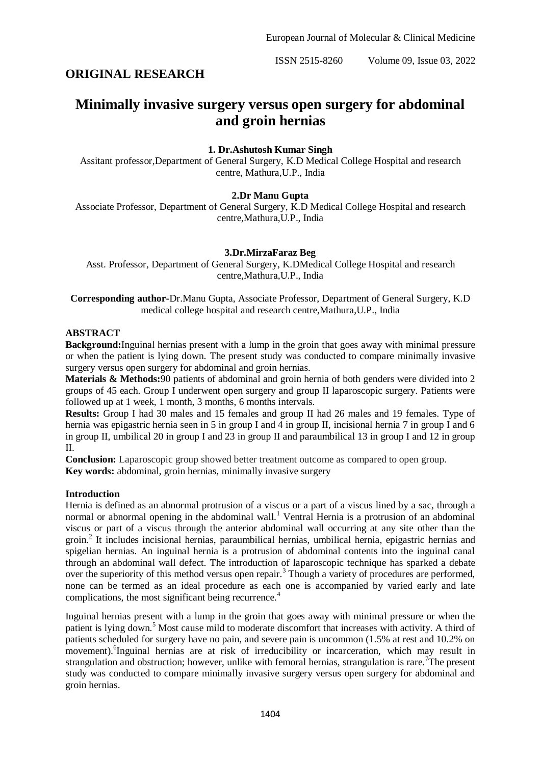ISSN 2515-8260 Volume 09, Issue 03, 2022

## **ORIGINAL RESEARCH**

# **Minimally invasive surgery versus open surgery for abdominal and groin hernias**

## **1. Dr.Ashutosh Kumar Singh**

Assitant professor,Department of General Surgery, K.D Medical College Hospital and research centre, Mathura,U.P., India

## **2.Dr Manu Gupta**

Associate Professor, Department of General Surgery, K.D Medical College Hospital and research centre,Mathura,U.P., India

## **3.Dr.MirzaFaraz Beg**

Asst. Professor, Department of General Surgery, K.DMedical College Hospital and research centre,Mathura,U.P., India

**Corresponding author-**Dr.Manu Gupta, Associate Professor, Department of General Surgery, K.D medical college hospital and research centre,Mathura,U.P., India

#### **ABSTRACT**

**Background:**Inguinal hernias present with a lump in the groin that goes away with minimal pressure or when the patient is lying down. The present study was conducted to compare minimally invasive surgery versus open surgery for abdominal and groin hernias.

**Materials & Methods:**90 patients of abdominal and groin hernia of both genders were divided into 2 groups of 45 each. Group I underwent open surgery and group II laparoscopic surgery. Patients were followed up at 1 week, 1 month, 3 months, 6 months intervals.

**Results:** Group I had 30 males and 15 females and group II had 26 males and 19 females. Type of hernia was epigastric hernia seen in 5 in group I and 4 in group II, incisional hernia 7 in group I and 6 in group II, umbilical 20 in group I and 23 in group II and paraumbilical 13 in group I and 12 in group II.

**Conclusion:** Laparoscopic group showed better treatment outcome as compared to open group. **Key words:** abdominal, groin hernias, minimally invasive surgery

#### **Introduction**

Hernia is defined as an abnormal protrusion of a viscus or a part of a viscus lined by a sac, through a normal or abnormal opening in the abdominal wall.<sup>1</sup> Ventral Hernia is a protrusion of an abdominal viscus or part of a viscus through the anterior abdominal wall occurring at any site other than the groin.<sup>2</sup> It includes incisional hernias, paraumbilical hernias, umbilical hernia, epigastric hernias and spigelian hernias. An inguinal hernia is a protrusion of abdominal contents into the inguinal canal through an abdominal wall defect. The introduction of laparoscopic technique has sparked a debate over the superiority of this method versus open repair.<sup>3</sup> Though a variety of procedures are performed, none can be termed as an ideal procedure as each one is accompanied by varied early and late complications, the most significant being recurrence.<sup>4</sup>

Inguinal hernias present with a lump in the groin that goes away with minimal pressure or when the patient is lying down.<sup>5</sup> Most cause mild to moderate discomfort that increases with activity. A third of patients scheduled for surgery have no pain, and severe pain is uncommon (1.5% at rest and 10.2% on movement). <sup>6</sup>Inguinal hernias are at risk of irreducibility or incarceration, which may result in strangulation and obstruction; however, unlike with femoral hernias, strangulation is rare.<sup>7</sup>The present study was conducted to compare minimally invasive surgery versus open surgery for abdominal and groin hernias.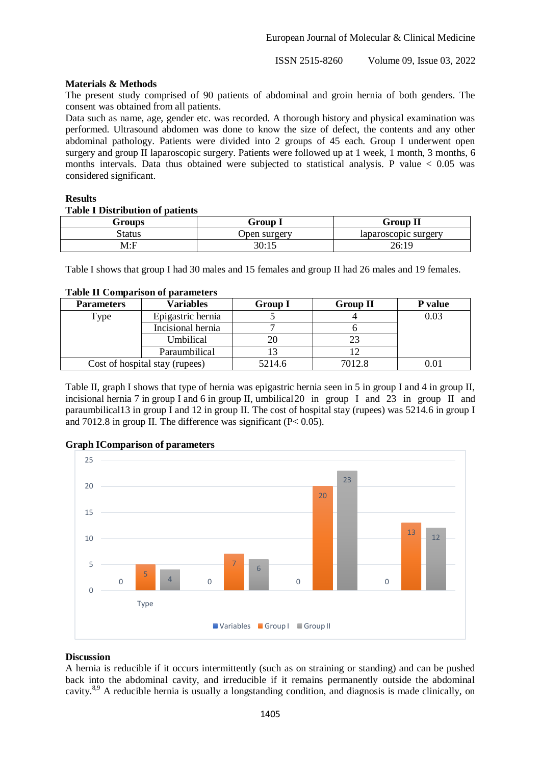ISSN 2515-8260 Volume 09, Issue 03, 2022

#### **Materials & Methods**

The present study comprised of 90 patients of abdominal and groin hernia of both genders. The consent was obtained from all patients.

Data such as name, age, gender etc. was recorded. A thorough history and physical examination was performed. Ultrasound abdomen was done to know the size of defect, the contents and any other abdominal pathology. Patients were divided into 2 groups of 45 each. Group I underwent open surgery and group II laparoscopic surgery. Patients were followed up at 1 week, 1 month, 3 months, 6 months intervals. Data thus obtained were subjected to statistical analysis. P value  $< 0.05$  was considered significant.

# **Results**

## **Table I Distribution of patients**

| Groups | Group 1      | <b>Group II</b>      |
|--------|--------------|----------------------|
| Status | Jpen surgerv | laparoscopic surgery |
| M:F    | 30:15        | 26:19                |

Table I shows that group I had 30 males and 15 females and group II had 26 males and 19 females.

| <b>Table II Comparison of parameters</b> |                  |   |  |  |
|------------------------------------------|------------------|---|--|--|
| <b>Parameters</b>                        | <b>Variables</b> | G |  |  |

| <b>Parameters</b> | <b>Variables</b>               | <b>Group I</b> | <b>Group II</b> | P value |
|-------------------|--------------------------------|----------------|-----------------|---------|
| Type              | Epigastric hernia              |                |                 | 0.03    |
|                   | Incisional hernia              |                |                 |         |
|                   | Umbilical                      |                |                 |         |
|                   | Paraumbilical                  |                |                 |         |
|                   | Cost of hospital stay (rupees) | 5214.6         | 7012.8          | 0.01    |

Table II, graph I shows that type of hernia was epigastric hernia seen in 5 in group I and 4 in group II, incisional hernia 7 in group I and 6 in group II, umbilical20 in group I and 23 in group II and paraumbilical13 in group I and 12 in group II. The cost of hospital stay (rupees) was 5214.6 in group I and 7012.8 in group II. The difference was significant ( $P < 0.05$ ).



## **Graph IComparison of parameters**

#### **Discussion**

A hernia is reducible if it occurs intermittently (such as on straining or standing) and can be pushed back into the abdominal cavity, and irreducible if it remains permanently outside the abdominal cavity.8,9 A reducible hernia is usually a longstanding condition, and diagnosis is made clinically, on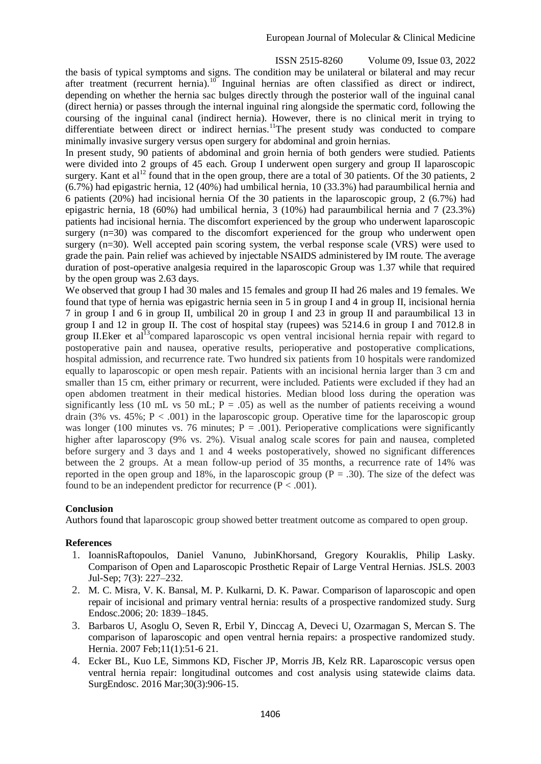ISSN 2515-8260 Volume 09, Issue 03, 2022 the basis of typical symptoms and signs. The condition may be unilateral or bilateral and may recur after treatment (recurrent hernia).<sup>10</sup> Inguinal hernias are often classified as direct or indirect, depending on whether the hernia sac bulges directly through the posterior wall of the inguinal canal (direct hernia) or passes through the internal inguinal ring alongside the spermatic cord, following the coursing of the inguinal canal (indirect hernia). However, there is no clinical merit in trying to differentiate between direct or indirect hernias.<sup>11</sup>The present study was conducted to compare minimally invasive surgery versus open surgery for abdominal and groin hernias.

In present study, 90 patients of abdominal and groin hernia of both genders were studied. Patients were divided into 2 groups of 45 each. Group I underwent open surgery and group II laparoscopic surgery. Kant et al<sup>12</sup> found that in the open group, there are a total of 30 patients. Of the 30 patients, 2 (6.7%) had epigastric hernia, 12 (40%) had umbilical hernia, 10 (33.3%) had paraumbilical hernia and 6 patients (20%) had incisional hernia Of the 30 patients in the laparoscopic group, 2 (6.7%) had epigastric hernia, 18 (60%) had umbilical hernia, 3 (10%) had paraumbilical hernia and 7 (23.3%) patients had incisional hernia. The discomfort experienced by the group who underwent laparoscopic surgery (n=30) was compared to the discomfort experienced for the group who underwent open surgery (n=30). Well accepted pain scoring system, the verbal response scale (VRS) were used to grade the pain. Pain relief was achieved by injectable NSAIDS administered by IM route. The average duration of post-operative analgesia required in the laparoscopic Group was 1.37 while that required by the open group was 2.63 days.

We observed that group I had 30 males and 15 females and group II had 26 males and 19 females. We found that type of hernia was epigastric hernia seen in 5 in group I and 4 in group II, incisional hernia 7 in group I and 6 in group II, umbilical 20 in group I and 23 in group II and paraumbilical 13 in group I and 12 in group II. The cost of hospital stay (rupees) was 5214.6 in group I and 7012.8 in group II.Eker et al<sup>13</sup>compared laparoscopic vs open ventral incisional hernia repair with regard to postoperative pain and nausea, operative results, perioperative and postoperative complications, hospital admission, and recurrence rate. Two hundred six patients from 10 hospitals were randomized equally to laparoscopic or open mesh repair. Patients with an incisional hernia larger than 3 cm and smaller than 15 cm, either primary or recurrent, were included. Patients were excluded if they had an open abdomen treatment in their medical histories. Median blood loss during the operation was significantly less (10 mL vs 50 mL;  $P = .05$ ) as well as the number of patients receiving a wound drain (3% vs. 45%;  $P < .001$ ) in the laparoscopic group. Operative time for the laparoscopic group was longer (100 minutes vs. 76 minutes;  $P = .001$ ). Perioperative complications were significantly higher after laparoscopy (9% vs. 2%). Visual analog scale scores for pain and nausea, completed before surgery and 3 days and 1 and 4 weeks postoperatively, showed no significant differences between the 2 groups. At a mean follow-up period of 35 months, a recurrence rate of 14% was reported in the open group and 18%, in the laparoscopic group  $(P = .30)$ . The size of the defect was found to be an independent predictor for recurrence  $(P < .001)$ .

## **Conclusion**

Authors found that laparoscopic group showed better treatment outcome as compared to open group.

#### **References**

- 1. IoannisRaftopoulos, Daniel Vanuno, JubinKhorsand, Gregory Kouraklis, Philip Lasky. Comparison of Open and Laparoscopic Prosthetic Repair of Large Ventral Hernias. JSLS. 2003 Jul-Sep; 7(3): 227–232.
- 2. M. C. Misra, V. K. Bansal, M. P. Kulkarni, D. K. Pawar. Comparison of laparoscopic and open repair of incisional and primary ventral hernia: results of a prospective randomized study. Surg Endosc.2006; 20: 1839–1845.
- 3. Barbaros U, Asoglu O, Seven R, Erbil Y, Dinccag A, Deveci U, Ozarmagan S, Mercan S. The comparison of laparoscopic and open ventral hernia repairs: a prospective randomized study. Hernia. 2007 Feb;11(1):51-6 21.
- 4. Ecker BL, Kuo LE, Simmons KD, Fischer JP, Morris JB, Kelz RR. Laparoscopic versus open ventral hernia repair: longitudinal outcomes and cost analysis using statewide claims data. SurgEndosc. 2016 Mar;30(3):906-15.